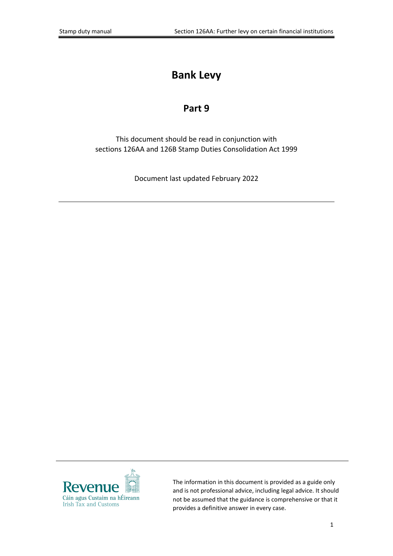# **Bank Levy**

#### **Part 9**

This document should be read in conjunction with sections 126AA and 126B Stamp Duties Consolidation Act 1999

Document last updated February 2022



The information in this document is provided as a guide only and is not professional advice, including legal advice. It should not be assumed that the guidance is comprehensive or that it provides a definitive answer in every case.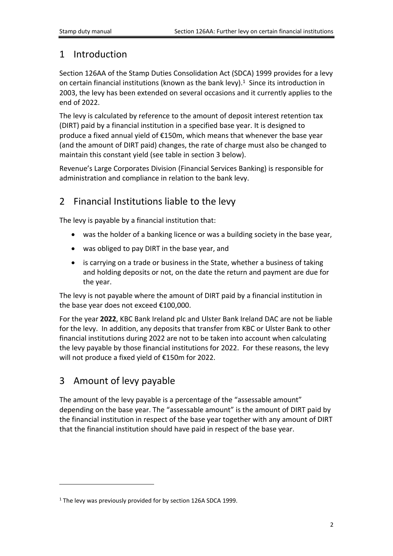#### 1 Introduction

Section 126AA of the Stamp Duties Consolidation Act (SDCA) 1999 provides for a levy on certain financial institutions (known as the bank levy). $1$  Since its introduction in 2003, the levy has been extended on several occasions and it currently applies to the end of 2022.

The levy is calculated by reference to the amount of deposit interest retention tax (DIRT) paid by a financial institution in a specified base year. It is designed to produce a fixed annual yield of €150m, which means that whenever the base year (and the amount of DIRT paid) changes, the rate of charge must also be changed to maintain this constant yield (see table in section 3 below).

Revenue's Large Corporates Division (Financial Services Banking) is responsible for administration and compliance in relation to the bank levy.

# 2 Financial Institutions liable to the levy

The levy is payable by a financial institution that:

- was the holder of a banking licence or was a building society in the base year,
- was obliged to pay DIRT in the base year, and
- is carrying on a trade or business in the State, whether a business of taking and holding deposits or not, on the date the return and payment are due for the year.

The levy is not payable where the amount of DIRT paid by a financial institution in the base year does not exceed €100,000.

For the year **2022**, KBC Bank Ireland plc and Ulster Bank Ireland DAC are not be liable for the levy. In addition, any deposits that transfer from KBC or Ulster Bank to other financial institutions during 2022 are not to be taken into account when calculating the levy payable by those financial institutions for 2022. For these reasons, the levy will not produce a fixed yield of €150m for 2022.

### 3 Amount of levy payable

The amount of the levy payable is a percentage of the "assessable amount" depending on the base year. The "assessable amount" is the amount of DIRT paid by the financial institution in respect of the base year together with any amount of DIRT that the financial institution should have paid in respect of the base year.

<sup>&</sup>lt;sup>1</sup> The levy was previously provided for by section 126A SDCA 1999.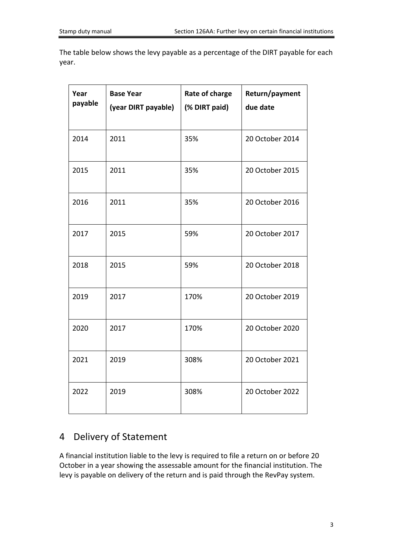The table below shows the levy payable as a percentage of the DIRT payable for each year.

| Year<br>payable | <b>Base Year</b><br>(year DIRT payable) | Rate of charge<br>(% DIRT paid) | Return/payment<br>due date |
|-----------------|-----------------------------------------|---------------------------------|----------------------------|
| 2014            | 2011                                    | 35%                             | 20 October 2014            |
| 2015            | 2011                                    | 35%                             | 20 October 2015            |
| 2016            | 2011                                    | 35%                             | 20 October 2016            |
| 2017            | 2015                                    | 59%                             | 20 October 2017            |
| 2018            | 2015                                    | 59%                             | 20 October 2018            |
| 2019            | 2017                                    | 170%                            | 20 October 2019            |
| 2020            | 2017                                    | 170%                            | 20 October 2020            |
| 2021            | 2019                                    | 308%                            | 20 October 2021            |
| 2022            | 2019                                    | 308%                            | 20 October 2022            |

### 4 Delivery of Statement

A financial institution liable to the levy is required to file a return on or before 20 October in a year showing the assessable amount for the financial institution. The levy is payable on delivery of the return and is paid through the RevPay system.